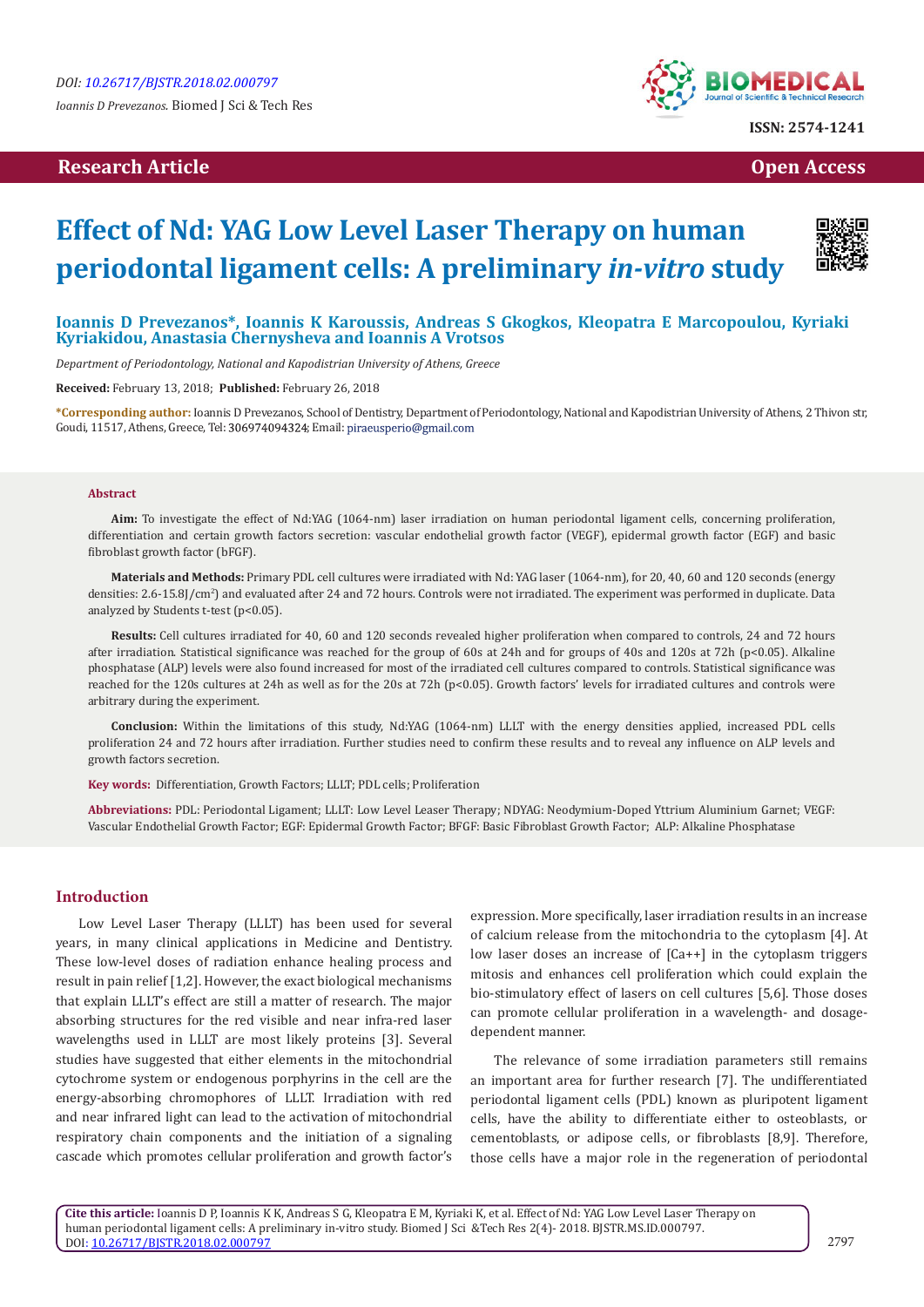# **Research Article Open Access Contract Article Open Access Open Access Open Access**



# **Effect of Nd: YAG Low Level Laser Therapy on human periodontal ligament cells: A preliminary** *in-vitro* **study**



## **Ioannis D Prevezanos\*, Ioannis K Karoussis, Andreas S Gkogkos, Kleopatra E Marcopoulou, Kyriaki Kyriakidou, Anastasia Chernysheva and Ioannis A Vrotsos**

*Department of Periodontology, National and Kapodistrian University of Athens, Greece*

**Received:** February 13, 2018; **Published:** February 26, 2018

**\*Corresponding author:** Ioannis D Prevezanos, School of Dentistry, Department of Periodontology, National and Kapodistrian University of Athens, 2 Thivon str, Goudi, 11517, Athens, Greece, Tel: 306974094324; Email: piraeusperio@gmail.com

#### **Abstract**

**Aim:** To investigate the effect of Nd:YAG (1064-nm) laser irradiation on human periodontal ligament cells, concerning proliferation, differentiation and certain growth factors secretion: vascular endothelial growth factor (VEGF), epidermal growth factor (EGF) and basic fibroblast growth factor (bFGF).

**Materials and Methods:** Primary PDL cell cultures were irradiated with Nd: YAG laser (1064-nm), for 20, 40, 60 and 120 seconds (energy densities: 2.6-15.8J/cm<sup>2</sup>) and evaluated after 24 and 72 hours. Controls were not irradiated. The experiment was performed in duplicate. Data analyzed by Students t-test (p<0.05).

**Results:** Cell cultures irradiated for 40, 60 and 120 seconds revealed higher proliferation when compared to controls, 24 and 72 hours after irradiation. Statistical significance was reached for the group of 60s at 24h and for groups of 40s and 120s at 72h (p<0.05). Alkaline phosphatase (ALP) levels were also found increased for most of the irradiated cell cultures compared to controls. Statistical significance was reached for the 120s cultures at 24h as well as for the 20s at 72h (p<0.05). Growth factors' levels for irradiated cultures and controls were arbitrary during the experiment.

**Conclusion:** Within the limitations of this study, Nd:YAG (1064-nm) LLLT with the energy densities applied, increased PDL cells proliferation 24 and 72 hours after irradiation. Further studies need to confirm these results and to reveal any influence on ALP levels and growth factors secretion.

**Key words:** Differentiation, Growth Factors; LLLT; PDL cells; Proliferation

**Abbreviations:** PDL: Periodontal Ligament; LLLT: Low Level Leaser Therapy; NDYAG: Neodymium-Doped Yttrium Aluminium Garnet; VEGF: Vascular Endothelial Growth Factor; EGF: Epidermal Growth Factor; BFGF: Basic Fibroblast Growth Factor; ALP: Alkaline Phosphatase

#### **Introduction**

Low Level Laser Therapy (LLLT) has been used for several years, in many clinical applications in Medicine and Dentistry. These low-level doses of radiation enhance healing process and result in pain relief [1,2]. However, the exact biological mechanisms that explain LLLT's effect are still a matter of research. The major absorbing structures for the red visible and near infra-red laser wavelengths used in LLLT are most likely proteins [3]. Several studies have suggested that either elements in the mitochondrial cytochrome system or endogenous porphyrins in the cell are the energy-absorbing chromophores of LLLT. Irradiation with red and near infrared light can lead to the activation of mitochondrial respiratory chain components and the initiation of a signaling cascade which promotes cellular proliferation and growth factor's expression. More specifically, laser irradiation results in an increase of calcium release from the mitochondria to the cytoplasm [4]. At low laser doses an increase of [Ca++] in the cytoplasm triggers mitosis and enhances cell proliferation which could explain the bio-stimulatory effect of lasers on cell cultures [5,6]. Those doses can promote cellular proliferation in a wavelength- and dosagedependent manner.

The relevance of some irradiation parameters still remains an important area for further research [7]. The undifferentiated periodontal ligament cells (PDL) known as pluripotent ligament cells, have the ability to differentiate either to osteoblasts, or cementoblasts, or adipose cells, or fibroblasts [8,9]. Therefore, those cells have a major role in the regeneration of periodontal

**Cite this article:** Ioannis D P, Ioannis K K, Andreas S G, Kleopatra E M, Kyriaki K, et al. Effect of Nd: YAG Low Level Laser Therapy on human periodontal ligament cells: A preliminary in-vitro study. Biomed J Sci &Tech Res 2(4)- 2018. BJSTR.MS.ID.000797. DOI: [10.26717/BJSTR.2018.02.000797](http://dx.doi.org/10.26717/BJSTR.2018.02.000797)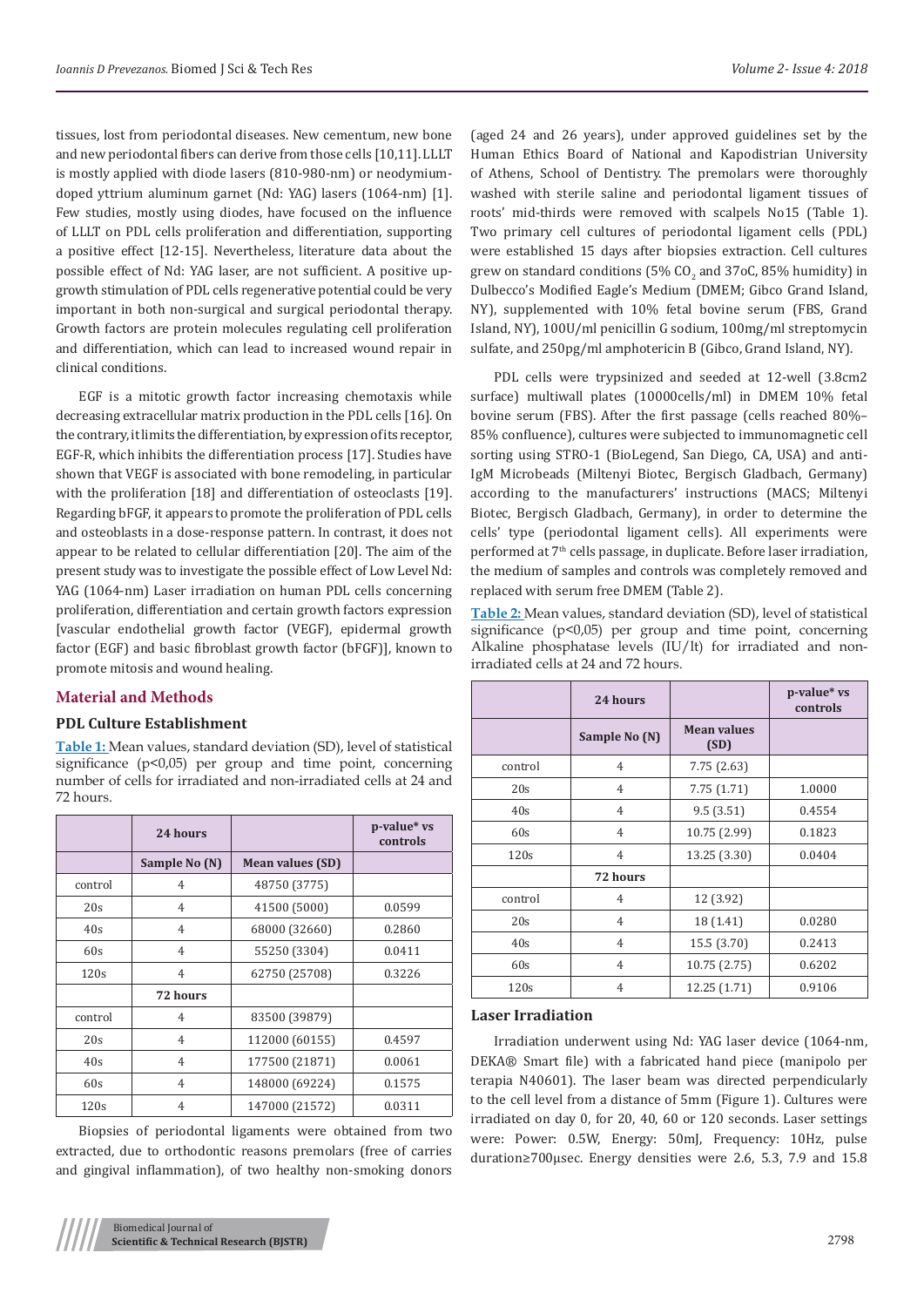tissues, lost from periodontal diseases. New cementum, new bone and new periodontal fibers can derive from those cells [10,11]. LLLT is mostly applied with diode lasers (810-980-nm) or neodymiumdoped yttrium aluminum garnet (Nd: YAG) lasers (1064-nm) [1]. Few studies, mostly using diodes, have focused on the influence of LLLT on PDL cells proliferation and differentiation, supporting a positive effect [12-15]. Nevertheless, literature data about the possible effect of Nd: YAG laser, are not sufficient. A positive upgrowth stimulation of PDL cells regenerative potential could be very important in both non-surgical and surgical periodontal therapy. Growth factors are protein molecules regulating cell proliferation and differentiation, which can lead to increased wound repair in clinical conditions.

EGF is a mitotic growth factor increasing chemotaxis while decreasing extracellular matrix production in the PDL cells [16]. On the contrary, it limits the differentiation, by expression of its receptor, EGF-R, which inhibits the differentiation process [17]. Studies have shown that VEGF is associated with bone remodeling, in particular with the proliferation [18] and differentiation of osteoclasts [19]. Regarding bFGF, it appears to promote the proliferation of PDL cells and osteoblasts in a dose-response pattern. In contrast, it does not appear to be related to cellular differentiation [20]. The aim of the present study was to investigate the possible effect of Low Level Nd: YAG (1064-nm) Laser irradiation on human PDL cells concerning proliferation, differentiation and certain growth factors expression [vascular endothelial growth factor (VEGF), epidermal growth factor (EGF) and basic fibroblast growth factor (bFGF)], known to promote mitosis and wound healing.

#### **Material and Methods**

#### **PDL Culture Establishment**

**Table 1:** Mean values, standard deviation (SD), level of statistical significance (p<0,05) per group and time point, concerning number of cells for irradiated and non-irradiated cells at 24 and 72 hours.

|         | 24 hours       |                         | p-value* vs<br>controls |
|---------|----------------|-------------------------|-------------------------|
|         | Sample No (N)  | <b>Mean values (SD)</b> |                         |
| control | 4              | 48750 (3775)            |                         |
| 20s     | 4              | 41500 (5000)            | 0.0599                  |
| 40s     | 4              | 68000 (32660)           | 0.2860                  |
| 60s     | $\overline{4}$ | 55250 (3304)            | 0.0411                  |
| 120s    | 4              | 62750 (25708)           | 0.3226                  |
|         | 72 hours       |                         |                         |
| control | $\overline{4}$ | 83500 (39879)           |                         |
| 20s     | 4              | 112000 (60155)          | 0.4597                  |
| 40s     | 4              | 177500 (21871)          | 0.0061                  |
| 60s     | $\overline{4}$ | 148000 (69224)          | 0.1575                  |
| 120s    | 4              | 147000 (21572)          | 0.0311                  |

Biopsies of periodontal ligaments were obtained from two extracted, due to orthodontic reasons premolars (free of carries and gingival inflammation), of two healthy non-smoking donors

(aged 24 and 26 years), under approved guidelines set by the Human Ethics Board of National and Kapodistrian University of Athens, School of Dentistry. The premolars were thoroughly washed with sterile saline and periodontal ligament tissues of roots' mid-thirds were removed with scalpels No15 (Table 1). Two primary cell cultures of periodontal ligament cells (PDL) were established 15 days after biopsies extraction. Cell cultures grew on standard conditions (5% CO $_2$  and 37oC, 85% humidity) in Dulbecco's Modified Eagle's Medium (DMEM; Gibco Grand Island, NY), supplemented with 10% fetal bovine serum (FBS, Grand Island, NY), 100U/ml penicillin G sodium, 100mg/ml streptomycin sulfate, and 250pg/ml amphotericin B (Gibco, Grand Island, NY).

PDL cells were trypsinized and seeded at 12-well (3.8cm2 surface) multiwall plates (10000cells/ml) in DMEM 10% fetal bovine serum (FBS). After the first passage (cells reached 80%– 85% confluence), cultures were subjected to immunomagnetic cell sorting using STRO-1 (BioLegend, San Diego, CA, USA) and anti-IgM Microbeads (Miltenyi Biotec, Bergisch Gladbach, Germany) according to the manufacturers' instructions (MACS; Miltenyi Biotec, Bergisch Gladbach, Germany), in order to determine the cells' type (periodontal ligament cells). All experiments were performed at 7th cells passage, in duplicate. Before laser irradiation, the medium of samples and controls was completely removed and replaced with serum free DMEM (Table 2).

**Table 2:** Mean values, standard deviation (SD), level of statistical significance (p<0,05) per group and time point, concerning Alkaline phosphatase levels (IU/lt) for irradiated and nonirradiated cells at 24 and 72 hours.

|         | 24 hours       |                            | p-value* vs<br>controls |
|---------|----------------|----------------------------|-------------------------|
|         | Sample No (N)  | <b>Mean values</b><br>(SD) |                         |
| control | $\overline{4}$ | 7.75(2.63)                 |                         |
| 20s     | $\overline{4}$ | 7.75(1.71)                 | 1.0000                  |
| 40s     | $\overline{4}$ | 9.5(3.51)                  | 0.4554                  |
| 60s     | $\overline{4}$ | 10.75 (2.99)               | 0.1823                  |
| 120s    | 4              | 13.25 (3.30)               | 0.0404                  |
|         | 72 hours       |                            |                         |
| control | 4              | 12 (3.92)                  |                         |
| 20s     | $\overline{4}$ | 18 (1.41)                  | 0.0280                  |
| 40s     | $\overline{4}$ | 15.5 (3.70)                | 0.2413                  |
| 60s     | $\overline{4}$ | 10.75(2.75)                | 0.6202                  |
| 120s    | 4              | 12.25 (1.71)               | 0.9106                  |

#### **Laser Irradiation**

Irradiation underwent using Nd: YAG laser device (1064-nm, DEKA® Smart file) with a fabricated hand piece (manipolo per terapia N40601). The laser beam was directed perpendicularly to the cell level from a distance of 5mm (Figure 1). Cultures were irradiated on day 0, for 20, 40, 60 or 120 seconds. Laser settings were: Power: 0.5W, Energy: 50mJ, Frequency: 10Hz, pulse duration≥700μsec. Energy densities were 2.6, 5.3, 7.9 and 15.8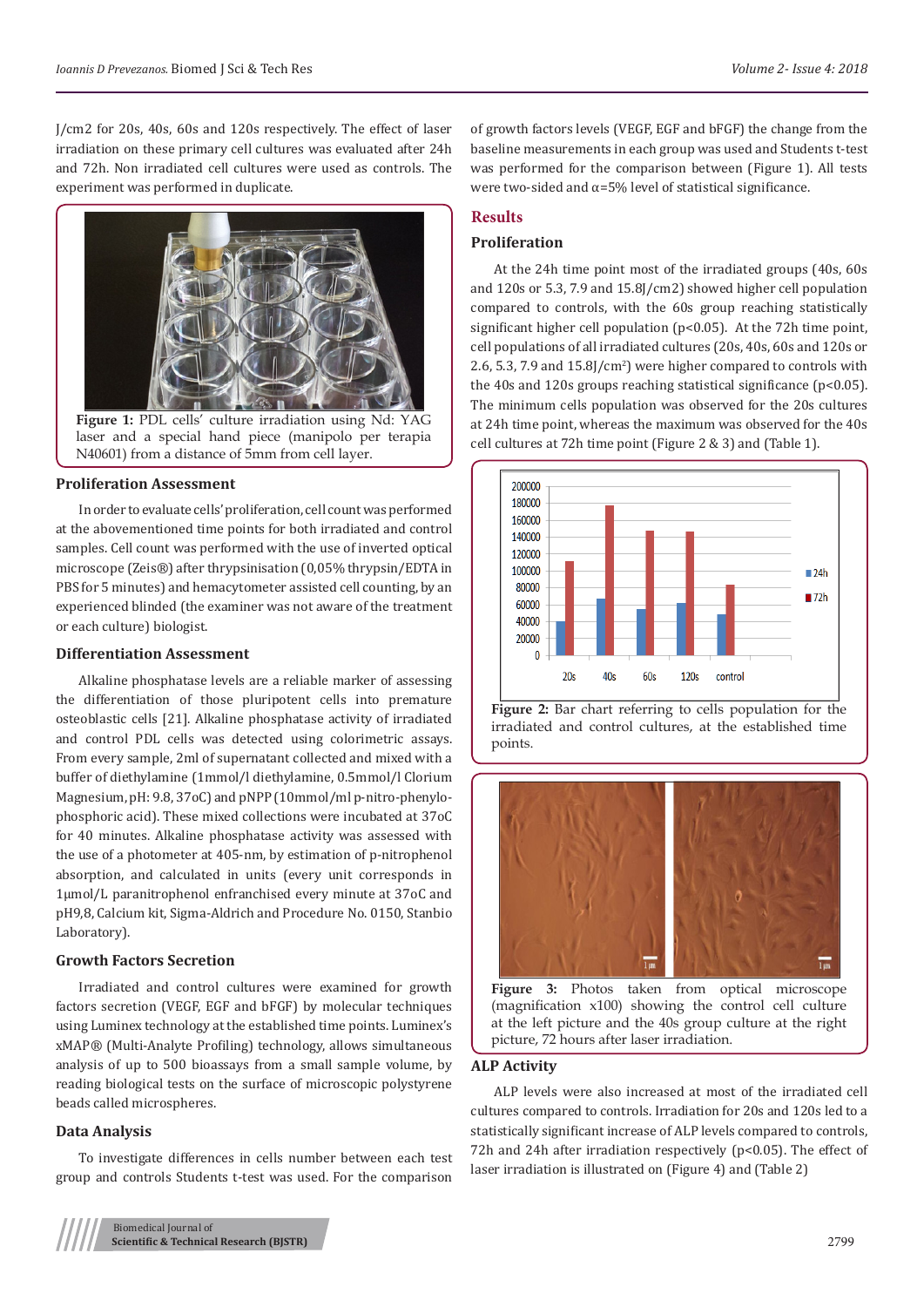J/cm2 for 20s, 40s, 60s and 120s respectively. The effect of laser irradiation on these primary cell cultures was evaluated after 24h and 72h. Non irradiated cell cultures were used as controls. The experiment was performed in duplicate.



**Figure 1:** PDL cells' culture irradiation using Nd: YAG laser and a special hand piece (manipolo per terapia N40601) from a distance of 5mm from cell layer.

#### **Proliferation Assessment**

In order to evaluate cells' proliferation, cell count was performed at the abovementioned time points for both irradiated and control samples. Cell count was performed with the use of inverted optical microscope (Zeis®) after thrypsinisation (0,05% thrypsin/EDTA in PBS for 5 minutes) and hemacytometer assisted cell counting, by an experienced blinded (the examiner was not aware of the treatment or each culture) biologist.

#### **Differentiation Assessment**

Alkaline phosphatase levels are a reliable marker of assessing the differentiation of those pluripotent cells into premature osteoblastic cells [21]. Alkaline phosphatase activity of irradiated and control PDL cells was detected using colorimetric assays. From every sample, 2ml of supernatant collected and mixed with a buffer of diethylamine (1mmol/l diethylamine, 0.5mmol/l Clorium Magnesium, pH: 9.8, 37oC) and pNPP (10mmol/ml p-nitro-phenylophosphoric acid). These mixed collections were incubated at 37οC for 40 minutes. Alkaline phosphatase activity was assessed with the use of a photometer at 405-nm, by estimation of p-nitrophenol absorption, and calculated in units (every unit corresponds in 1μmol/L paranitrophenol enfranchised every minute at 37oC and pH9,8, Calcium kit, Sigma-Aldrich and Procedure No. 0150, Stanbio Laboratory).

#### **Growth Factors Secretion**

Irradiated and control cultures were examined for growth factors secretion (VEGF, EGF and bFGF) by molecular techniques using Luminex technology at the established time points. Luminex's xMAP® (Multi-Analyte Profiling) technology, allows simultaneous analysis of up to 500 bioassays from a small sample volume, by reading biological tests on the surface of microscopic polystyrene beads called microspheres.

#### **Data Analysis**

To investigate differences in cells number between each test group and controls Students t-test was used. For the comparison

of growth factors levels (VEGF, EGF and bFGF) the change from the baseline measurements in each group was used and Students t-test was performed for the comparison between (Figure 1). All tests were two-sided and  $\alpha = 5\%$  level of statistical significance.

# **Results**

#### **Proliferation**

At the 24h time point most of the irradiated groups (40s, 60s and 120s or 5.3, 7.9 and 15.8J/cm2) showed higher cell population compared to controls, with the 60s group reaching statistically significant higher cell population (p<0.05). At the 72h time point, cell populations of all irradiated cultures (20s, 40s, 60s and 120s or  $(2.6, 5.3, 7.9, \text{and } 15.8$ J $/\text{cm}^2$ ) were higher compared to controls with the 40s and 120s groups reaching statistical significance ( $p$ <0.05). The minimum cells population was observed for the 20s cultures at 24h time point, whereas the maximum was observed for the 40s cell cultures at 72h time point (Figure 2 & 3) and (Table 1).



**Figure 2:** Bar chart referring to cells population for the irradiated and control cultures, at the established time points.



**Figure 3:** Photos taken from optical microscope (magnification x100) showing the control cell culture at the left picture and the 40s group culture at the right picture, 72 hours after laser irradiation.

#### **ALP Activity**

ALP levels were also increased at most of the irradiated cell cultures compared to controls. Irradiation for 20s and 120s led to a statistically significant increase of ALP levels compared to controls, 72h and 24h after irradiation respectively (p<0.05). The effect of laser irradiation is illustrated on (Figure 4) and (Table 2)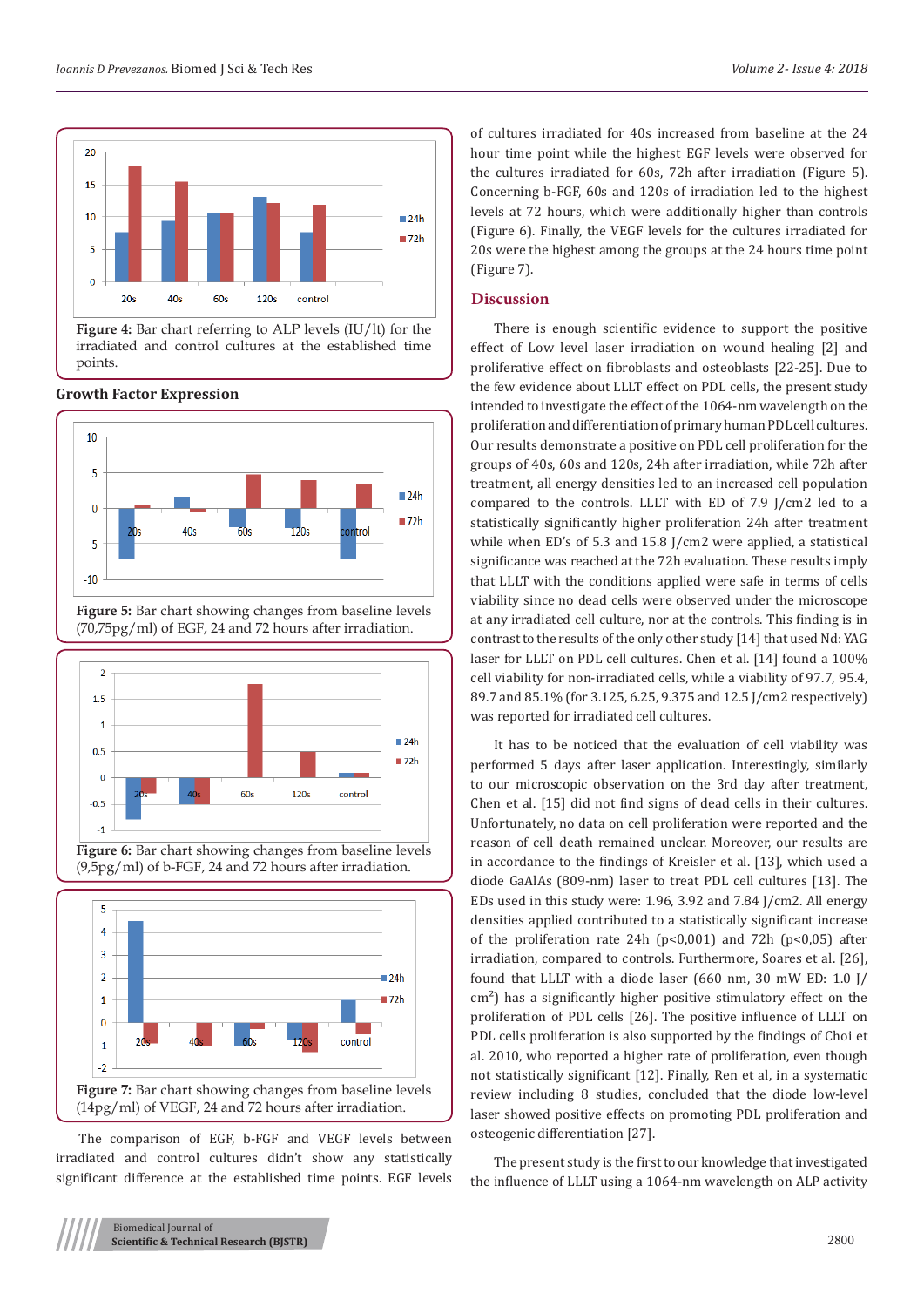

**Figure 4:** Bar chart referring to ALP levels (IU/lt) for the irradiated and control cultures at the established time points.



# **Growth Factor Expression**

**Figure 5:** Bar chart showing changes from baseline levels (70,75pg/ml) of EGF, 24 and 72 hours after irradiation.



**Figure 6:** Bar chart showing changes from baseline levels (9,5pg/ml) of b-FGF, 24 and 72 hours after irradiation.



The comparison of EGF, b-FGF and VEGF levels between irradiated and control cultures didn't show any statistically significant difference at the established time points. EGF levels of cultures irradiated for 40s increased from baseline at the 24 hour time point while the highest EGF levels were observed for the cultures irradiated for 60s, 72h after irradiation (Figure 5). Concerning b-FGF, 60s and 120s of irradiation led to the highest levels at 72 hours, which were additionally higher than controls (Figure 6). Finally, the VEGF levels for the cultures irradiated for 20s were the highest among the groups at the 24 hours time point (Figure 7).

#### **Discussion**

There is enough scientific evidence to support the positive effect of Low level laser irradiation on wound healing [2] and proliferative effect on fibroblasts and osteoblasts [22-25]. Due to the few evidence about LLLT effect on PDL cells, the present study intended to investigate the effect of the 1064-nm wavelength on the proliferation and differentiation of primary human PDL cell cultures. Our results demonstrate a positive on PDL cell proliferation for the groups of 40s, 60s and 120s, 24h after irradiation, while 72h after treatment, all energy densities led to an increased cell population compared to the controls. LLLT with ED of 7.9 J/cm2 led to a statistically significantly higher proliferation 24h after treatment while when ED's of 5.3 and 15.8 J/cm2 were applied, a statistical significance was reached at the 72h evaluation. These results imply that LLLT with the conditions applied were safe in terms of cells viability since no dead cells were observed under the microscope at any irradiated cell culture, nor at the controls. This finding is in contrast to the results of the only other study [14] that used Nd: YAG laser for LLLT on PDL cell cultures. Chen et al. [14] found a 100% cell viability for non-irradiated cells, while a viability of 97.7, 95.4, 89.7 and 85.1% (for 3.125, 6.25, 9.375 and 12.5 J/cm2 respectively) was reported for irradiated cell cultures.

It has to be noticed that the evaluation of cell viability was performed 5 days after laser application. Interestingly, similarly to our microscopic observation on the 3rd day after treatment, Chen et al. [15] did not find signs of dead cells in their cultures. Unfortunately, no data on cell proliferation were reported and the reason of cell death remained unclear. Moreover, our results are in accordance to the findings of Kreisler et al. [13], which used a diode GaAlAs (809-nm) laser to treat PDL cell cultures [13]. The EDs used in this study were: 1.96, 3.92 and 7.84 J/cm2. All energy densities applied contributed to a statistically significant increase of the proliferation rate 24h (p<0,001) and 72h (p<0,05) after irradiation, compared to controls. Furthermore, Soares et al. [26], found that LLLT with a diode laser (660 nm, 30 mW ED: 1.0 J/ cm<sup>2</sup>) has a significantly higher positive stimulatory effect on the proliferation of PDL cells [26]. The positive influence of LLLT on PDL cells proliferation is also supported by the findings of Choi et al. 2010, who reported a higher rate of proliferation, even though not statistically significant [12]. Finally, Ren et al, in a systematic review including 8 studies, concluded that the diode low-level laser showed positive effects on promoting PDL proliferation and osteogenic differentiation [27].

The present study is the first to our knowledge that investigated the influence of LLLT using a 1064-nm wavelength on ALP activity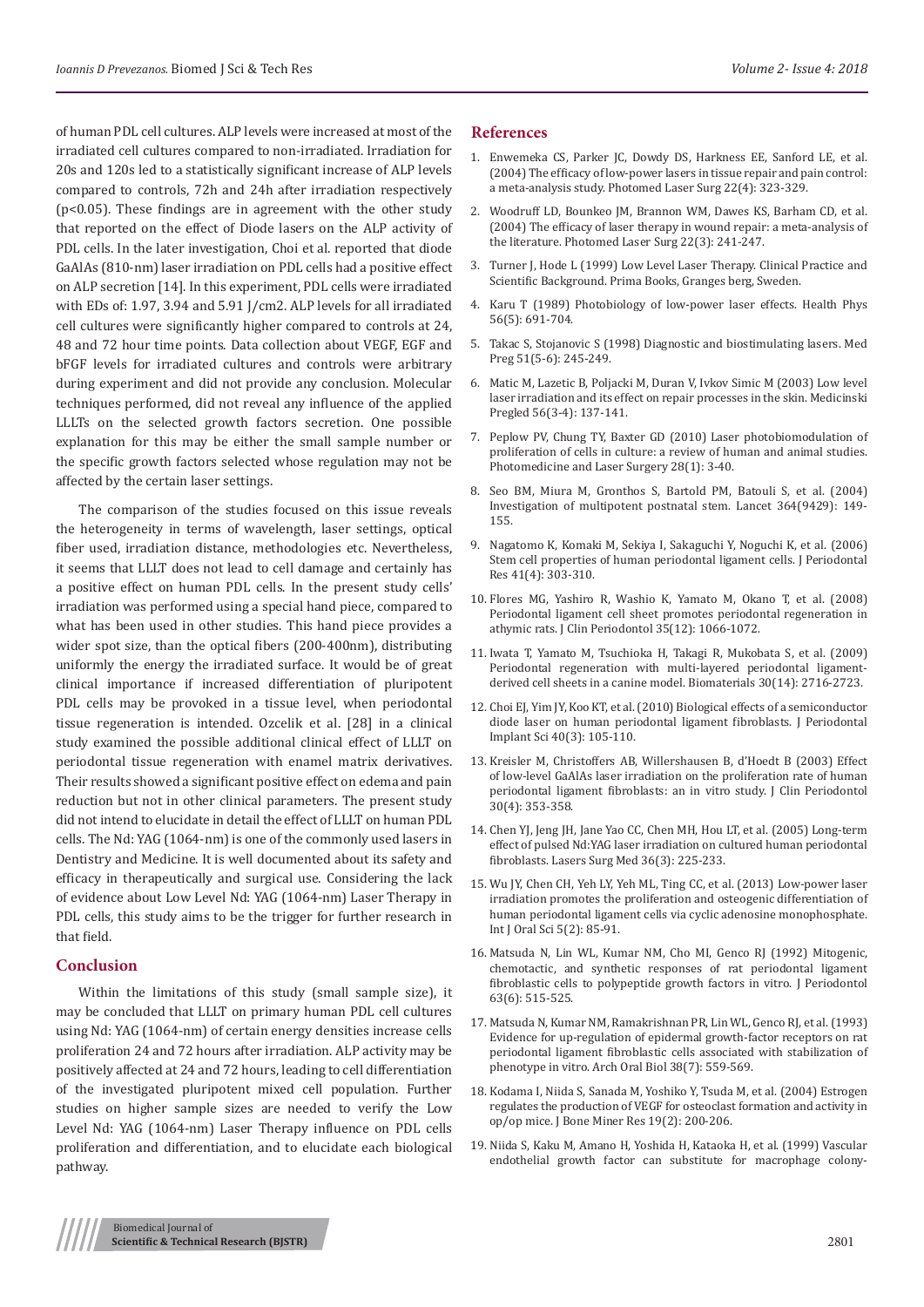of human PDL cell cultures. ALP levels were increased at most of the irradiated cell cultures compared to non-irradiated. Irradiation for 20s and 120s led to a statistically significant increase of ALP levels compared to controls, 72h and 24h after irradiation respectively (p<0.05). These findings are in agreement with the other study that reported on the effect of Diode lasers on the ALP activity of PDL cells. In the later investigation, Choi et al. reported that diode GaAlAs (810-nm) laser irradiation on PDL cells had a positive effect on ALP secretion [14]. In this experiment, PDL cells were irradiated with EDs of: 1.97, 3.94 and 5.91 J/cm2. ALP levels for all irradiated cell cultures were significantly higher compared to controls at 24, 48 and 72 hour time points. Data collection about VEGF, EGF and bFGF levels for irradiated cultures and controls were arbitrary during experiment and did not provide any conclusion. Molecular techniques performed, did not reveal any influence of the applied LLLTs on the selected growth factors secretion. One possible explanation for this may be either the small sample number or the specific growth factors selected whose regulation may not be affected by the certain laser settings.

The comparison of the studies focused on this issue reveals the heterogeneity in terms of wavelength, laser settings, optical fiber used, irradiation distance, methodologies etc. Nevertheless, it seems that LLLT does not lead to cell damage and certainly has a positive effect on human PDL cells. In the present study cells' irradiation was performed using a special hand piece, compared to what has been used in other studies. This hand piece provides a wider spot size, than the optical fibers (200-400nm), distributing uniformly the energy the irradiated surface. It would be of great clinical importance if increased differentiation of pluripotent PDL cells may be provoked in a tissue level, when periodontal tissue regeneration is intended. Ozcelik et al. [28] in a clinical study examined the possible additional clinical effect of LLLT on periodontal tissue regeneration with enamel matrix derivatives. Their results showed a significant positive effect on edema and pain reduction but not in other clinical parameters. The present study did not intend to elucidate in detail the effect of LLLT on human PDL cells. The Nd: YAG (1064-nm) is one of the commonly used lasers in Dentistry and Medicine. It is well documented about its safety and efficacy in therapeutically and surgical use. Considering the lack of evidence about Low Level Nd: YAG (1064-nm) Laser Therapy in PDL cells, this study aims to be the trigger for further research in that field.

#### **Conclusion**

Within the limitations of this study (small sample size), it may be concluded that LLLT on primary human PDL cell cultures using Nd: YAG (1064-nm) of certain energy densities increase cells proliferation 24 and 72 hours after irradiation. ALP activity may be positively affected at 24 and 72 hours, leading to cell differentiation of the investigated pluripotent mixed cell population. Further studies on higher sample sizes are needed to verify the Low Level Nd: YAG (1064-nm) Laser Therapy influence on PDL cells proliferation and differentiation, and to elucidate each biological pathway.

#### **References**

- 1. [Enwemeka CS, Parker JC, Dowdy DS, Harkness EE, Sanford LE, et al.](https://www.ncbi.nlm.nih.gov/pubmed/15345176) [\(2004\) The efficacy of low-power lasers in tissue repair and pain control:](https://www.ncbi.nlm.nih.gov/pubmed/15345176) [a meta-analysis study. Photomed Laser Surg 22\(4\): 323-329.](https://www.ncbi.nlm.nih.gov/pubmed/15345176)
- 2. [Woodruff LD, Bounkeo JM, Brannon WM, Dawes KS, Barham CD, et al.](https://www.ncbi.nlm.nih.gov/pubmed/15315732) [\(2004\) The efficacy of laser therapy in wound repair: a meta-analysis of](https://www.ncbi.nlm.nih.gov/pubmed/15315732) [the literature. Photomed Laser Surg 22\(3\): 241-247.](https://www.ncbi.nlm.nih.gov/pubmed/15315732)
- 3. Turner J, Hode L (1999) Low Level Laser Therapy. Clinical Practice and Scientific Background. Prima Books, Granges berg, Sweden.
- 4. [Karu T \(1989\) Photobiology of low-power laser effects. Health Phys](https://www.ncbi.nlm.nih.gov/pubmed/2651364) [56\(5\): 691-704.](https://www.ncbi.nlm.nih.gov/pubmed/2651364)
- 5. [Takac S, Stojanovic S \(1998\) Diagnostic and biostimulating lasers. Med](https://www.ncbi.nlm.nih.gov/pubmed/9720352) [Preg 51\(5-6\): 245-249.](https://www.ncbi.nlm.nih.gov/pubmed/9720352)
- 6. [Matic M, Lazetic B, Poljacki M, Duran V, Ivkov Simic M \(2003\) Low level](https://www.ncbi.nlm.nih.gov/pubmed/12899077) [laser irradiation and its effect on repair processes in the skin. Medicinski](https://www.ncbi.nlm.nih.gov/pubmed/12899077) [Pregled 56\(3-4\): 137-141.](https://www.ncbi.nlm.nih.gov/pubmed/12899077)
- 7. [Peplow PV, Chung TY, Baxter GD \(2010\) Laser photobiomodulation of](https://www.ncbi.nlm.nih.gov/pubmed/20666617) [proliferation of cells in culture: a review of human and animal studies.](https://www.ncbi.nlm.nih.gov/pubmed/20666617) [Photomedicine and Laser Surgery 28\(1\): 3-40.](https://www.ncbi.nlm.nih.gov/pubmed/20666617)
- 8. [Seo BM, Miura M, Gronthos S, Bartold PM, Batouli S, et al. \(2004\)](https://www.ncbi.nlm.nih.gov/pubmed/15246727) [Investigation of multipotent postnatal stem. Lancet 364\(9429\): 149-](https://www.ncbi.nlm.nih.gov/pubmed/15246727) [155.](https://www.ncbi.nlm.nih.gov/pubmed/15246727)
- 9. [Nagatomo K, Komaki M, Sekiya I, Sakaguchi Y, Noguchi K, et al. \(2006\)](https://www.ncbi.nlm.nih.gov/pubmed/16827724) [Stem cell properties of human periodontal ligament cells. J Periodontal](https://www.ncbi.nlm.nih.gov/pubmed/16827724) [Res 41\(4\): 303-310.](https://www.ncbi.nlm.nih.gov/pubmed/16827724)
- 10. [Flores MG, Yashiro R, Washio K, Yamato M, Okano T, et al. \(2008\)](https://www.ncbi.nlm.nih.gov/pubmed/19040584) [Periodontal ligament cell sheet promotes periodontal regeneration in](https://www.ncbi.nlm.nih.gov/pubmed/19040584) [athymic rats. J Clin Periodontol 35\(12\): 1066-1072.](https://www.ncbi.nlm.nih.gov/pubmed/19040584)
- 11. [Iwata T, Yamato M, Tsuchioka H, Takagi R, Mukobata S, et al. \(2009\)](https://www.ncbi.nlm.nih.gov/pubmed/19201461) [Periodontal regeneration with multi-layered periodontal ligament](https://www.ncbi.nlm.nih.gov/pubmed/19201461)[derived cell sheets in a canine model. Biomaterials 30\(14\): 2716-2723.](https://www.ncbi.nlm.nih.gov/pubmed/19201461)
- 12. [Choi EJ, Yim JY, Koo KT, et al. \(2010\) Biological effects of a semiconductor](https://www.ncbi.nlm.nih.gov/pubmed/20607054) [diode laser on human periodontal ligament fibroblasts. J Periodontal](https://www.ncbi.nlm.nih.gov/pubmed/20607054) [Implant Sci 40\(3\): 105-110.](https://www.ncbi.nlm.nih.gov/pubmed/20607054)
- 13. [Kreisler M, Christoffers AB, Willershausen B, d'Hoedt B \(2003\) Effect](https://www.ncbi.nlm.nih.gov/pubmed/12694435) [of low-level GaAlAs laser irradiation on the proliferation rate of human](https://www.ncbi.nlm.nih.gov/pubmed/12694435) [periodontal ligament fibroblasts: an in vitro study. J Clin Periodontol](https://www.ncbi.nlm.nih.gov/pubmed/12694435) [30\(4\): 353-358.](https://www.ncbi.nlm.nih.gov/pubmed/12694435)
- 14. [Chen YJ, Jeng JH, Jane Yao CC, Chen MH, Hou LT, et al. \(2005\) Long-term](https://www.ncbi.nlm.nih.gov/pubmed/15685604) [effect of pulsed Nd:YAG laser irradiation on cultured human periodontal](https://www.ncbi.nlm.nih.gov/pubmed/15685604) [fibroblasts. Lasers Surg Med 36\(3\): 225-233.](https://www.ncbi.nlm.nih.gov/pubmed/15685604)
- 15. [Wu JY, Chen CH, Yeh LY, Yeh ML, Ting CC, et al. \(2013\) Low-power laser](https://www.ncbi.nlm.nih.gov/pubmed/23788285) [irradiation promotes the proliferation and osteogenic differentiation of](https://www.ncbi.nlm.nih.gov/pubmed/23788285) [human periodontal ligament cells via cyclic adenosine monophosphate.](https://www.ncbi.nlm.nih.gov/pubmed/23788285) [Int J Oral Sci 5\(2\): 85-91.](https://www.ncbi.nlm.nih.gov/pubmed/23788285)
- 16. [Matsuda N, Lin WL, Kumar NM, Cho MI, Genco RJ \(1992\) Mitogenic,](https://www.ncbi.nlm.nih.gov/pubmed/1625151) [chemotactic, and synthetic responses of rat periodontal ligament](https://www.ncbi.nlm.nih.gov/pubmed/1625151) [fibroblastic cells to polypeptide growth factors in vitro. J Periodontol](https://www.ncbi.nlm.nih.gov/pubmed/1625151) [63\(6\): 515-525.](https://www.ncbi.nlm.nih.gov/pubmed/1625151)
- 17. [Matsuda N, Kumar NM, Ramakrishnan PR, Lin WL, Genco RJ, et al. \(1993\)](https://www.ncbi.nlm.nih.gov/pubmed/8368952) [Evidence for up-regulation of epidermal growth-factor receptors on rat](https://www.ncbi.nlm.nih.gov/pubmed/8368952) [periodontal ligament fibroblastic cells associated with stabilization of](https://www.ncbi.nlm.nih.gov/pubmed/8368952) [phenotype in vitro. Arch Oral Biol 38\(7\): 559-569.](https://www.ncbi.nlm.nih.gov/pubmed/8368952)
- 18. [Kodama I, Niida S, Sanada M, Yoshiko Y, Tsuda M, et al. \(2004\) Estrogen](https://www.ncbi.nlm.nih.gov/pubmed/14969389) [regulates the production of VEGF for osteoclast formation and activity in](https://www.ncbi.nlm.nih.gov/pubmed/14969389) op/op mice. [J Bone Miner Res 19\(2\): 200-206.](https://www.ncbi.nlm.nih.gov/pubmed/14969389)
- 19. [Niida S, Kaku M, Amano H, Yoshida H, Kataoka H, et al. \(1999\) Vascular](https://www.ncbi.nlm.nih.gov/pubmed/10432291) [endothelial growth factor can substitute for macrophage colony-](https://www.ncbi.nlm.nih.gov/pubmed/10432291)